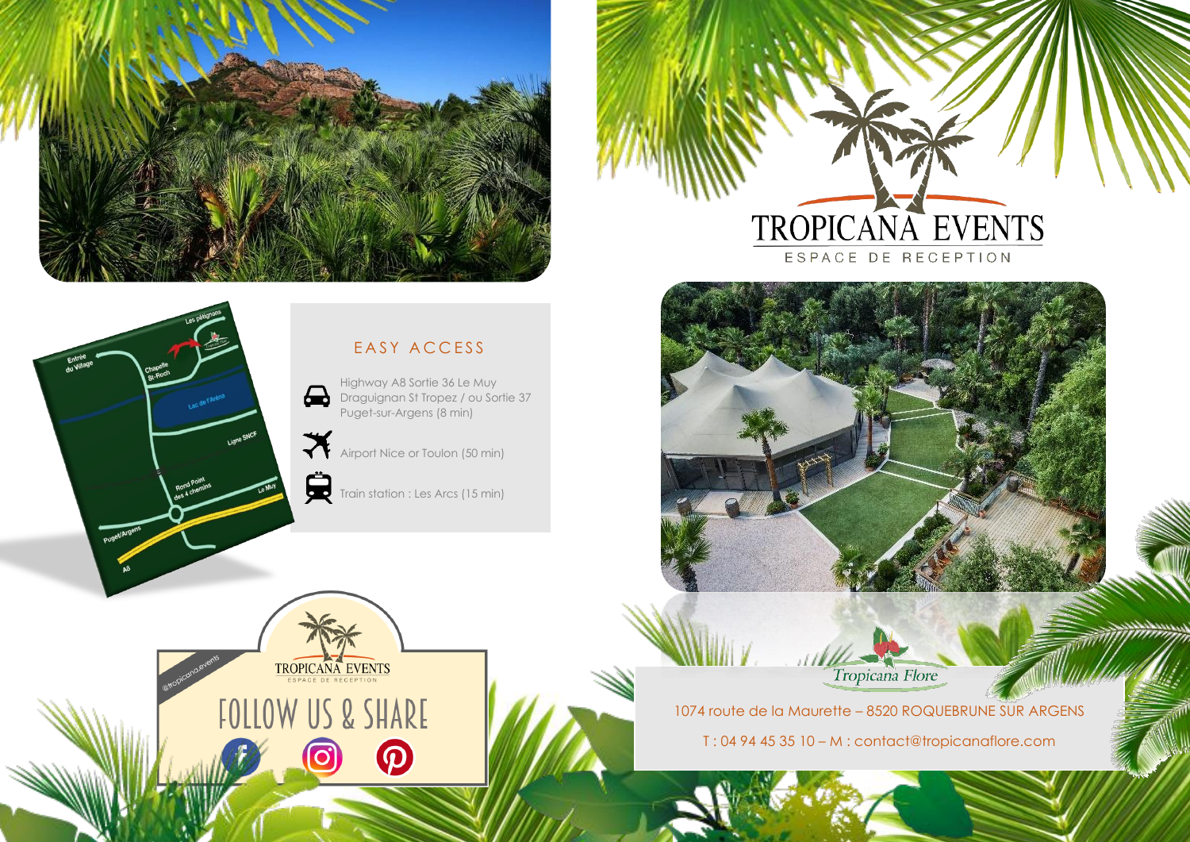



ESPACE DE RECEPTION



Tropicana Flore

1074 route de la Maurette – 8520 ROQUEBRUNE SUR ARGENS

T : 04 94 45 35 10 – M : contact@tropicanaflore.com

# EASY ACCESS

Highway A8 Sortie 36 Le Muy  $\bigoplus$ Draguignan St Tropez / ou Sortie 37 Puget-sur-Argens (8 min)

Airport Nice or Toulon (50 min)

Train station : Les Arcs (15 min)

 $\boldsymbol{\Omega}$ 

TROPICANA EVENTS

**FOLLOW US & SHARE**